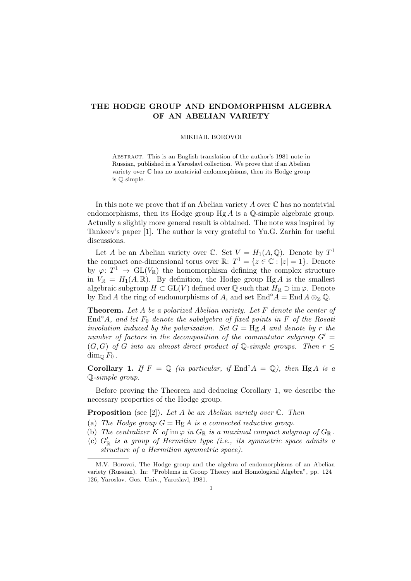## THE HODGE GROUP AND ENDOMORPHISM ALGEBRA OF AN ABELIAN VARIETY

## MIKHAIL BOROVOI

Abstract. This is an English translation of the author's 1981 note in Russian, published in a Yaroslavl collection. We prove that if an Abelian variety over C has no nontrivial endomorphisms, then its Hodge group is Q-simple.

In this note we prove that if an Abelian variety  $A$  over  $\mathbb C$  has no nontrivial endomorphisms, then its Hodge group  $Hg A$  is a  $\mathbb Q$ -simple algebraic group. Actually a slightly more general result is obtained. The note was inspired by Tankeev's paper [1]. The author is very grateful to Yu.G. Zarhin for useful discussions.

Let A be an Abelian variety over C. Set  $V = H_1(A, \mathbb{Q})$ . Denote by  $T^1$ the compact one-dimensional torus over  $\mathbb{R}$ :  $T^1 = \{z \in \mathbb{C} : |z| = 1\}$ . Denote by  $\varphi: T^1 \to GL(V_{\mathbb{R}})$  the homomorphism defining the complex structure in  $V_{\mathbb{R}} = H_1(A, \mathbb{R})$ . By definition, the Hodge group Hg A is the smallest algebraic subgroup  $H \subset GL(V)$  defined over  $\mathbb Q$  such that  $H_{\mathbb R} \supset \mathrm{im} \varphi$ . Denote by End A the ring of endomorphisms of A, and set End°A = End  $A \otimes_{\mathbb{Z}} \mathbb{Q}$ .

**Theorem.** Let A be a polarized Abelian variety. Let  $F$  denote the center of End $\partial A$ , and let  $F_0$  denote the subalgebra of fixed points in F of the Rosati involution induced by the polarization. Set  $G = HgA$  and denote by r the number of factors in the decomposition of the commutator subgroup  $G' =$  $(G, G)$  of G into an almost direct product of  $\mathbb{O}$ -simple groups. Then  $r <$  $\dim_{\mathbb{O}} F_0$ .

Corollary 1. If  $F = \mathbb{Q}$  (in particular, if  $\text{End}^{\circ} A = \mathbb{Q}$ ), then  $Hg A$  is a Q-simple group.

Before proving the Theorem and deducing Corollary 1, we describe the necessary properties of the Hodge group.

**Proposition** (see [2]). Let A be an Abelian variety over  $\mathbb{C}$ . Then

- (a) The Hodge group  $G = Hg A$  is a connected reductive group.
- (b) The centralizer K of im  $\varphi$  in  $G_{\mathbb{R}}$  is a maximal compact subgroup of  $G_{\mathbb{R}}$ .
- (c)  $G_{\mathbb{R}}'$  is a group of Hermitian type (i.e., its symmetric space admits a structure of a Hermitian symmetric space).

M.V. Borovoi, The Hodge group and the algebra of endomorphisms of an Abelian variety (Russian). In: "Problems in Group Theory and Homological Algebra", pp. 124– 126, Yaroslav. Gos. Univ., Yaroslavl, 1981.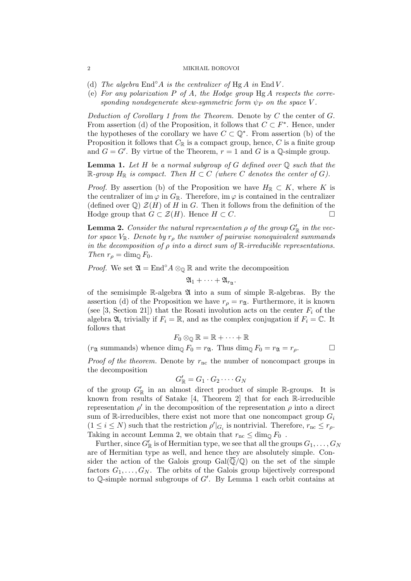## 2 MIKHAIL BOROVOI

- (d) The algebra  $\text{End}^{\circ} A$  is the centralizer of Hg A in End V.
- (e) For any polarization  $P$  of  $A$ , the Hodge group  $HgA$  respects the corresponding nondegenerate skew-symmetric form  $\psi_P$  on the space V.

Deduction of Corollary 1 from the Theorem. Denote by  $C$  the center of  $G$ . From assertion (d) of the Proposition, it follows that  $C \subset F^*$ . Hence, under the hypotheses of the corollary we have  $C \subset \mathbb{Q}^*$ . From assertion (b) of the Proposition it follows that  $C_{\mathbb{R}}$  is a compact group, hence,  $C$  is a finite group and  $G = G'$ . By virtue of the Theorem,  $r = 1$  and G is a Q-simple group.

**Lemma 1.** Let H be a normal subgroup of G defined over  $\mathbb Q$  such that the  $\mathbb{R}$ -group  $H_{\mathbb{R}}$  is compact. Then  $H \subset C$  (where C denotes the center of G).

*Proof.* By assertion (b) of the Proposition we have  $H_{\mathbb{R}} \subset K$ , where K is the centralizer of im  $\varphi$  in  $G_{\mathbb{R}}$ . Therefore, im  $\varphi$  is contained in the centralizer (defined over  $\mathbb{Q}$ )  $\mathcal{Z}(H)$  of H in G. Then it follows from the definition of the Hodge group that  $G \subset \mathcal{Z}(H)$ . Hence  $H \subset C$ .

**Lemma 2.** Consider the natural representation  $\rho$  of the group  $G'_{\mathbb{R}}$  in the vector space  $V_{\mathbb{R}}$ . Denote by  $r_{\rho}$  the number of pairwise nonequivalent summands in the decomposition of  $\rho$  into a direct sum of  $\mathbb R$ -irreducible representations. Then  $r_o = \dim_{\mathbb{Q}} F_0$ .

*Proof.* We set  $\mathfrak{A} = \text{End}^{\circ} A \otimes_{\mathbb{Q}} \mathbb{R}$  and write the decomposition

$$
\mathfrak{A}_1+\cdots+\mathfrak{A}_{r_{\mathfrak{A}}}.
$$

of the semisimple  $\mathbb{R}$ -algebra  $\mathfrak A$  into a sum of simple  $\mathbb{R}$ -algebras. By the assertion (d) of the Proposition we have  $r_{\rho} = r_{\mathfrak{A}}$ . Furthermore, it is known (see [3, Section 21]) that the Rosati involution acts on the center  $F_i$  of the algebra  $\mathfrak{A}_i$  trivially if  $F_i = \mathbb{R}$ , and as the complex conjugation if  $F_i = \mathbb{C}$ . It follows that

$$
F_0\otimes_{\mathbb{Q}}\mathbb{R}=\mathbb{R}+\cdots+\mathbb{R}
$$

 $(r_{\mathfrak{A}} \text{ summands})$  whence  $\dim_{\mathbb{Q}} F_0 = r_{\mathfrak{A}}$ . Thus  $\dim_{\mathbb{Q}} F_0 = r_{\mathfrak{A}} = r_{\rho}$ .

*Proof of the theorem.* Denote by  $r_{nc}$  the number of noncompact groups in the decomposition

$$
G'_{\mathbb{R}} = G_1 \cdot G_2 \cdot \dots \cdot G_N
$$

of the group  $G'_{\mathbb{R}}$  in an almost direct product of simple  $\mathbb{R}$ -groups. It is known from results of Satake [4, Theorem 2] that for each R-irreducible representation  $\rho'$  in the decomposition of the representation  $\rho$  into a direct sum of R-irreducibles, there exist not more that one noncompact group  $G_i$  $(1 \leq i \leq N)$  such that the restriction  $\rho' |_{G_i}$  is nontrivial. Therefore,  $r_{\text{nc}} \leq r_{\rho}$ . Taking in account Lemma 2, we obtain that  $r_{\text{nc}} \leq \dim_{\mathbb{Q}} F_0$ .

Further, since  $G'_{\mathbb{R}}$  is of Hermitian type, we see that all the groups  $G_1,\ldots,G_N$ are of Hermitian type as well, and hence they are absolutely simple. Consider the action of the Galois group  $Gal(\mathbb{Q}/\mathbb{Q})$  on the set of the simple factors  $G_1, \ldots, G_N$ . The orbits of the Galois group bijectively correspond to  $\mathbb Q$ -simple normal subgroups of  $G'$ . By Lemma 1 each orbit contains at